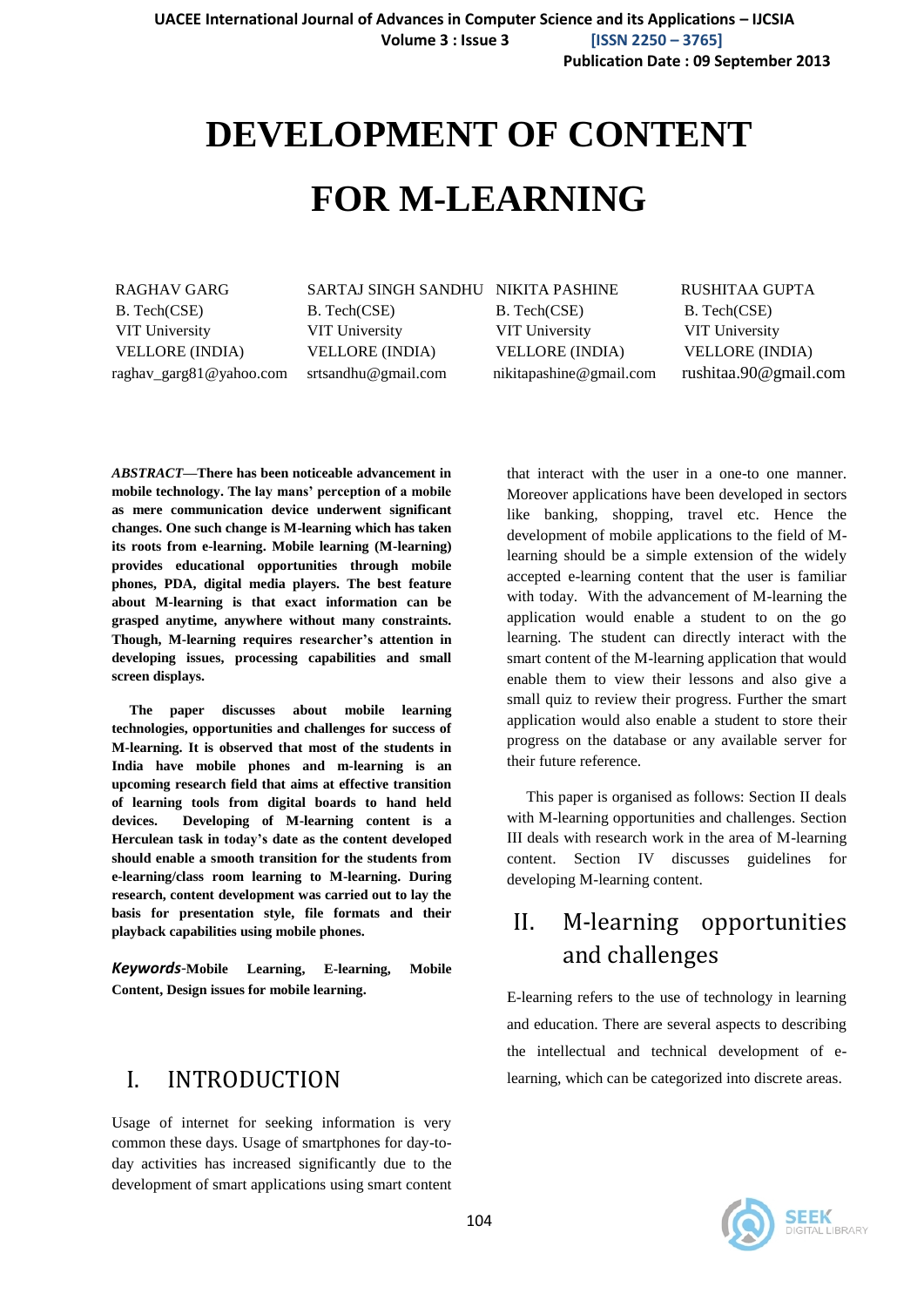# **DEVELOPMENT OF CONTENT**

# **FOR M-LEARNING**

RAGHAV GARG SARTAJ SINGH SANDHU NIKITA PASHINE RUSHITAA GUPTA B. Tech(CSE) B. Tech(CSE) B. Tech(CSE) B. Tech(CSE) B. Tech(CSE) B. Tech(CSE) VIT University VIT University VIT University VIT University VELLORE (INDIA) VELLORE (INDIA) VELLORE (INDIA) VELLORE (INDIA) raghav\_garg81@yahoo.com srtsandhu@gmail.com nikitapashine@gmail.com rushitaa.90@gmail.com

*ABSTRACT***—There has been noticeable advancement in mobile technology. The lay mans' perception of a mobile as mere communication device underwent significant changes. One such change is M-learning which has taken its roots from e-learning. Mobile learning (M-learning) provides educational opportunities through mobile phones, PDA, digital media players. The best feature about M-learning is that exact information can be grasped anytime, anywhere without many constraints. Though, M-learning requires researcher's attention in developing issues, processing capabilities and small screen displays.**

 **The paper discusses about mobile learning technologies, opportunities and challenges for success of M-learning. It is observed that most of the students in India have mobile phones and m-learning is an upcoming research field that aims at effective transition of learning tools from digital boards to hand held devices. Developing of M-learning content is a Herculean task in today's date as the content developed should enable a smooth transition for the students from e-learning/class room learning to M-learning. During research, content development was carried out to lay the basis for presentation style, file formats and their playback capabilities using mobile phones.**

*Keywords*-**Mobile Learning, E-learning, Mobile Content, Design issues for mobile learning.**

#### I. INTRODUCTION

Usage of internet for seeking information is very common these days. Usage of smartphones for day-today activities has increased significantly due to the development of smart applications using smart content that interact with the user in a one-to one manner. Moreover applications have been developed in sectors like banking, shopping, travel etc. Hence the development of mobile applications to the field of Mlearning should be a simple extension of the widely accepted e-learning content that the user is familiar with today. With the advancement of M-learning the application would enable a student to on the go learning. The student can directly interact with the smart content of the M-learning application that would enable them to view their lessons and also give a small quiz to review their progress. Further the smart application would also enable a student to store their progress on the database or any available server for their future reference.

 This paper is organised as follows: Section II deals with M-learning opportunities and challenges. Section III deals with research work in the area of M-learning content. Section IV discusses guidelines for developing M-learning content.

### II. M-learning opportunities and challenges

E-learning refers to the use of technology in learning and education. There are several aspects to describing the intellectual and technical development of elearning, which can be categorized into discrete areas.

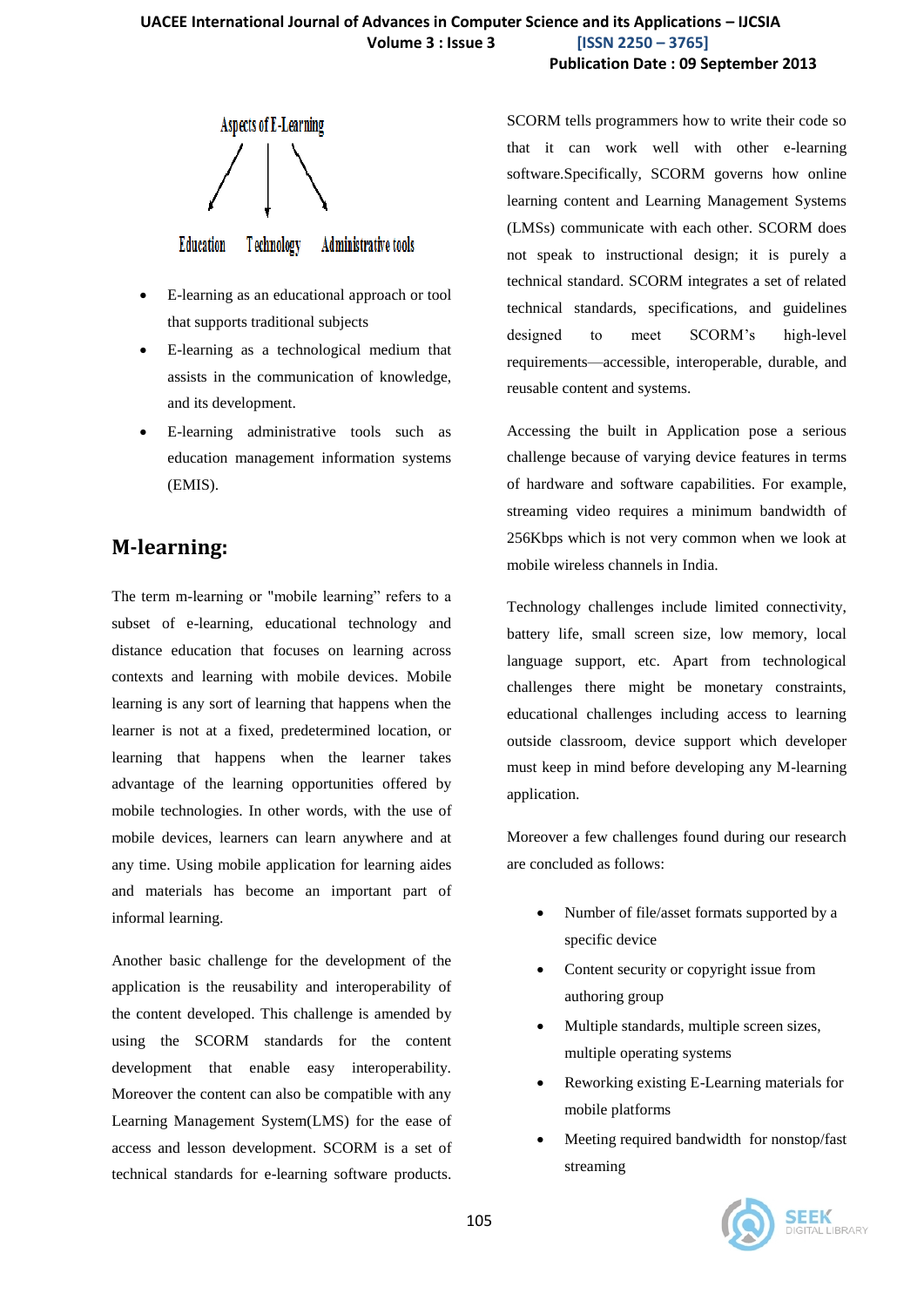

**Technology Education** Administrative tools

- E-learning as an educational approach or tool that supports traditional subjects
- E-learning as a technological medium that assists in the communication of knowledge, and its development.
- E-learning administrative tools such as education management information systems (EMIS).

#### **M-learning:**

The term m-learning or "mobile learning" refers to a subset of e-learning, educational technology and distance education that focuses on learning across contexts and learning with mobile devices. Mobile learning is any sort of learning that happens when the learner is not at a fixed, predetermined location, or learning that happens when the learner takes advantage of the learning opportunities offered by mobile technologies. In other words, with the use of mobile devices, learners can learn anywhere and at any time. Using mobile application for learning aides and materials has become an important part of informal learning.

Another basic challenge for the development of the application is the reusability and interoperability of the content developed. This challenge is amended by using the SCORM standards for the content development that enable easy interoperability. Moreover the content can also be compatible with any Learning Management System(LMS) for the ease of access and lesson development. SCORM is a set of technical standards for e-learning software products.

SCORM tells programmers how to write their code so that it can work well with other e-learning software.Specifically, SCORM governs how online learning content and Learning Management Systems (LMSs) communicate with each other. SCORM does not speak to instructional design; it is purely a technical standard. SCORM integrates a set of related technical standards, specifications, and guidelines designed to meet SCORM's high-level requirements—accessible, interoperable, durable, and reusable content and systems.

Accessing the built in Application pose a serious challenge because of varying device features in terms of hardware and software capabilities. For example, streaming video requires a minimum bandwidth of 256Kbps which is not very common when we look at mobile wireless channels in India.

Technology challenges include limited connectivity, battery life, small screen size, low memory, local language support, etc. Apart from technological challenges there might be monetary constraints, educational challenges including access to learning outside classroom, device support which developer must keep in mind before developing any M-learning application.

Moreover a few challenges found during our research are concluded as follows:

- Number of file/asset formats supported by a specific device
- Content security or copyright issue from authoring group
- Multiple standards, multiple screen sizes, multiple operating systems
- Reworking existing E-Learning materials for mobile platforms
- Meeting required bandwidth for nonstop/fast streaming

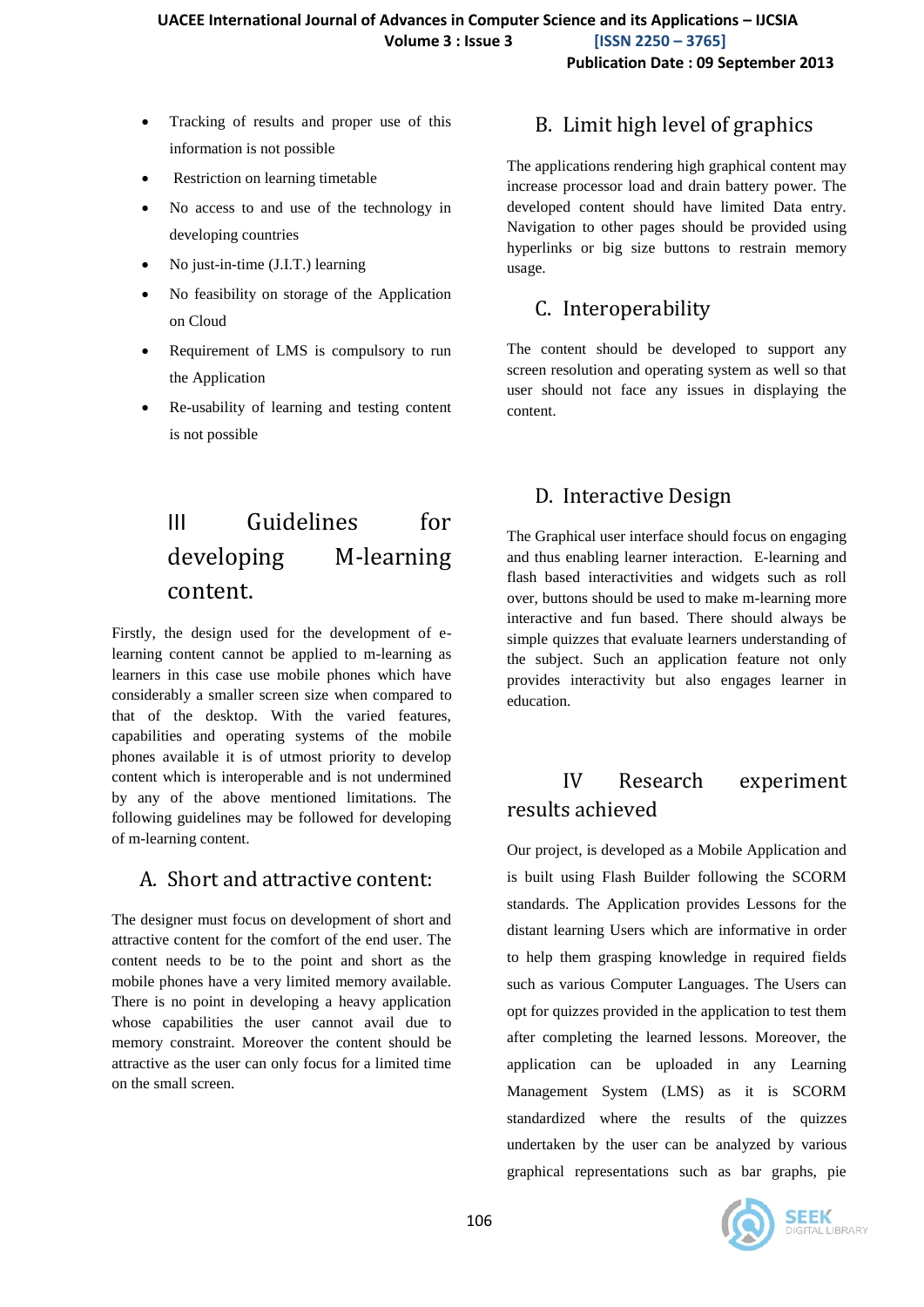- Tracking of results and proper use of this information is not possible
- Restriction on learning timetable
- No access to and use of the technology in developing countries
- No just-in-time (J.I.T.) learning
- No feasibility on storage of the Application on Cloud
- Requirement of LMS is compulsory to run the Application
- Re-usability of learning and testing content is not possible

## III Guidelines for developing M-learning content.

Firstly, the design used for the development of elearning content cannot be applied to m-learning as learners in this case use mobile phones which have considerably a smaller screen size when compared to that of the desktop. With the varied features, capabilities and operating systems of the mobile phones available it is of utmost priority to develop content which is interoperable and is not undermined by any of the above mentioned limitations. The following guidelines may be followed for developing of m-learning content.

#### A. Short and attractive content:

The designer must focus on development of short and attractive content for the comfort of the end user. The content needs to be to the point and short as the mobile phones have a very limited memory available. There is no point in developing a heavy application whose capabilities the user cannot avail due to memory constraint. Moreover the content should be attractive as the user can only focus for a limited time on the small screen.

#### B. Limit high level of graphics

The applications rendering high graphical content may increase processor load and drain battery power. The developed content should have limited Data entry. Navigation to other pages should be provided using hyperlinks or big size buttons to restrain memory usage.

#### C. Interoperability

The content should be developed to support any screen resolution and operating system as well so that user should not face any issues in displaying the content.

#### D. Interactive Design

The Graphical user interface should focus on engaging and thus enabling learner interaction. E-learning and flash based interactivities and widgets such as roll over, buttons should be used to make m-learning more interactive and fun based. There should always be simple quizzes that evaluate learners understanding of the subject. Such an application feature not only provides interactivity but also engages learner in education.

#### IV Research experiment results achieved

Our project, is developed as a Mobile Application and is built using Flash Builder following the SCORM standards. The Application provides Lessons for the distant learning Users which are informative in order to help them grasping knowledge in required fields such as various Computer Languages. The Users can opt for quizzes provided in the application to test them after completing the learned lessons. Moreover, the application can be uploaded in any Learning Management System (LMS) as it is SCORM standardized where the results of the quizzes undertaken by the user can be analyzed by various graphical representations such as bar graphs, pie

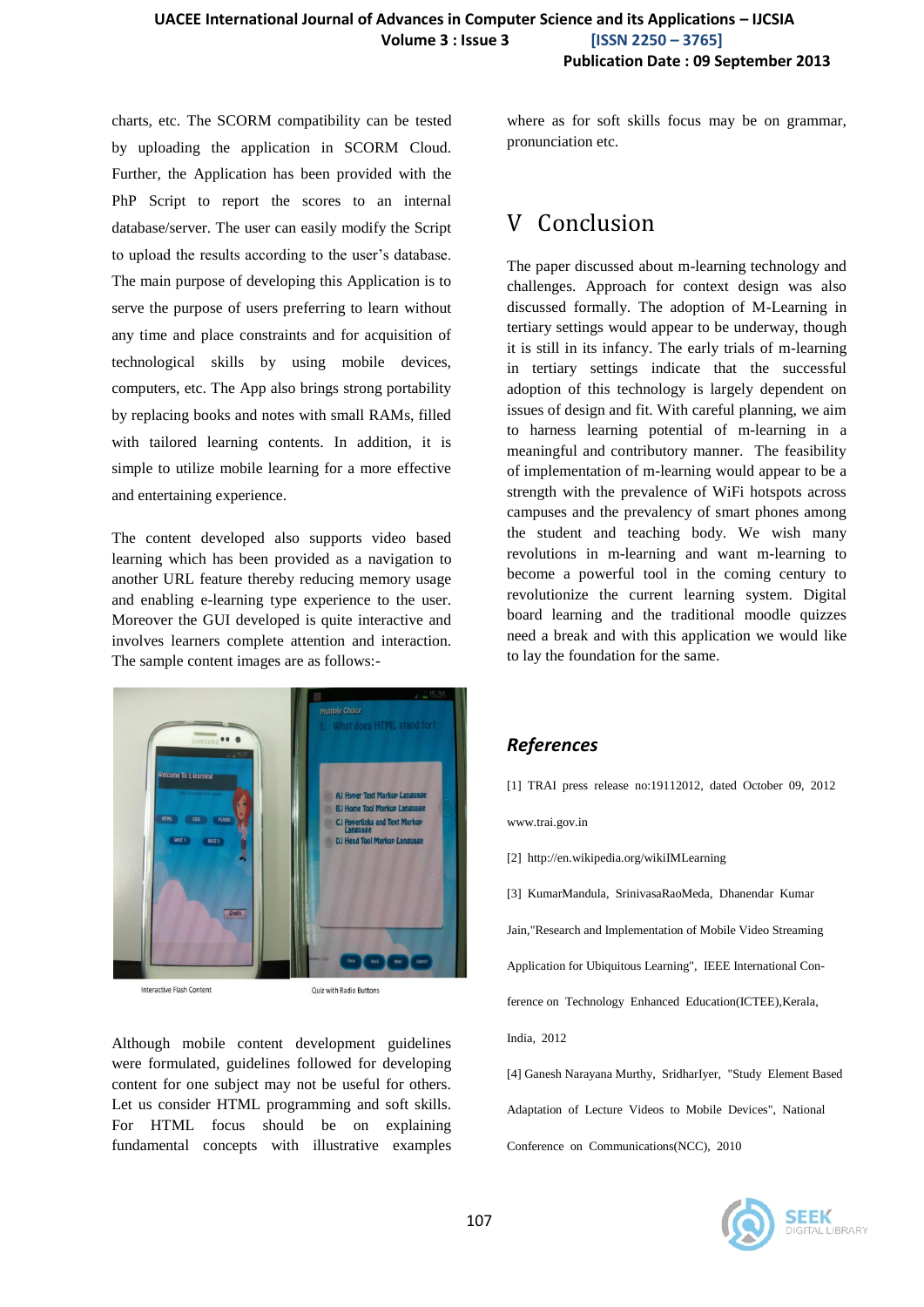charts, etc. The SCORM compatibility can be tested by uploading the application in SCORM Cloud. Further, the Application has been provided with the PhP Script to report the scores to an internal database/server. The user can easily modify the Script to upload the results according to the user's database. The main purpose of developing this Application is to serve the purpose of users preferring to learn without any time and place constraints and for acquisition of technological skills by using mobile devices, computers, etc. The App also brings strong portability by replacing books and notes with small RAMs, filled with tailored learning contents. In addition, it is simple to utilize mobile learning for a more effective and entertaining experience.

The content developed also supports video based learning which has been provided as a navigation to another URL feature thereby reducing memory usage and enabling e-learning type experience to the user. Moreover the GUI developed is quite interactive and involves learners complete attention and interaction. The sample content images are as follows:-



Interactive Flash Content

Quiz with Radio Buttons

Although mobile content development guidelines were formulated, guidelines followed for developing content for one subject may not be useful for others. Let us consider HTML programming and soft skills. For HTML focus should be on explaining fundamental concepts with illustrative examples where as for soft skills focus may be on grammar, pronunciation etc.

#### V Conclusion

The paper discussed about m-learning technology and challenges. Approach for context design was also discussed formally. The adoption of M-Learning in tertiary settings would appear to be underway, though it is still in its infancy. The early trials of m-learning in tertiary settings indicate that the successful adoption of this technology is largely dependent on issues of design and fit. With careful planning, we aim to harness learning potential of m-learning in a meaningful and contributory manner. The feasibility of implementation of m-learning would appear to be a strength with the prevalence of WiFi hotspots across campuses and the prevalency of smart phones among the student and teaching body. We wish many revolutions in m-learning and want m-learning to become a powerful tool in the coming century to revolutionize the current learning system. Digital board learning and the traditional moodle quizzes need a break and with this application we would like to lay the foundation for the same.

#### *References*

[1] TRAI press release no:19112012, dated October 09, 2012

www.trai.gov.in

[2] http://en.wikipedia.org/wikiIMLearning

[3] KumarMandula, SrinivasaRaoMeda, Dhanendar Kumar

Jain,"Research and Implementation of Mobile Video Streaming

Application for Ubiquitous Learning", IEEE International Con-

ference on Technology Enhanced Education(ICTEE), Kerala,

India, 2012

[4] Ganesh Narayana Murthy, SridharIyer, "Study Element Based Adaptation of Lecture Videos to Mobile Devices", National Conference on Communications(NCC), 2010